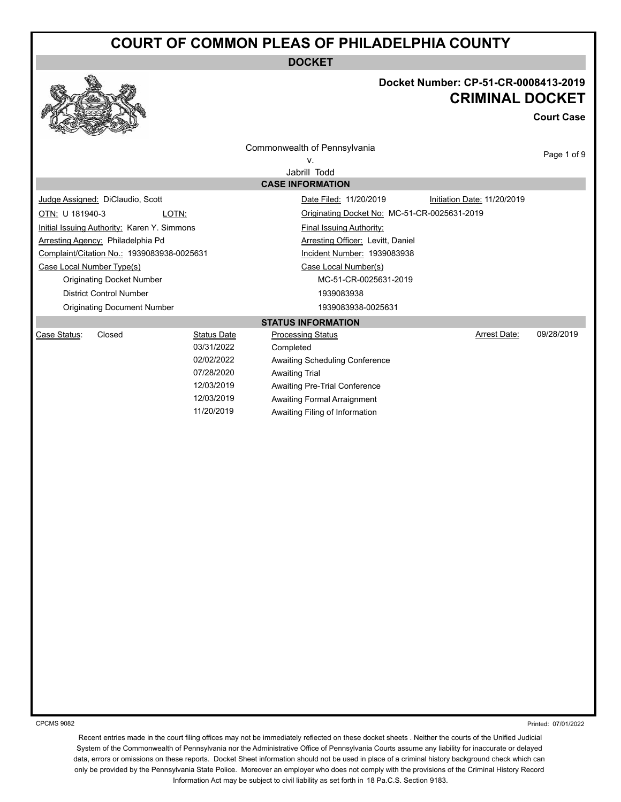**DOCKET**



## **Docket Number: CP-51-CR-0008413-2019 CRIMINAL DOCKET**

**Court Case**

|                           |                                             |                          | Commonwealth of Pennsylvania                           |                             | Page 1 of 9 |  |
|---------------------------|---------------------------------------------|--------------------------|--------------------------------------------------------|-----------------------------|-------------|--|
| V.                        |                                             |                          |                                                        |                             |             |  |
| Jabrill Todd              |                                             |                          |                                                        |                             |             |  |
|                           |                                             |                          | <b>CASE INFORMATION</b>                                |                             |             |  |
|                           | Judge Assigned: DiClaudio, Scott            |                          | Date Filed: 11/20/2019                                 | Initiation Date: 11/20/2019 |             |  |
| OTN: U 181940-3           | LOTN:                                       |                          | Originating Docket No: MC-51-CR-0025631-2019           |                             |             |  |
|                           | Initial Issuing Authority: Karen Y. Simmons |                          | <b>Final Issuing Authority:</b>                        |                             |             |  |
|                           | Arresting Agency: Philadelphia Pd           |                          | Arresting Officer: Levitt, Daniel                      |                             |             |  |
|                           | Complaint/Citation No.: 1939083938-0025631  |                          | Incident Number: 1939083938                            |                             |             |  |
| Case Local Number Type(s) |                                             |                          | Case Local Number(s)                                   |                             |             |  |
|                           | <b>Originating Docket Number</b>            |                          | MC-51-CR-0025631-2019                                  |                             |             |  |
|                           | <b>District Control Number</b>              |                          | 1939083938                                             |                             |             |  |
|                           | <b>Originating Document Number</b>          |                          | 1939083938-0025631                                     |                             |             |  |
|                           |                                             |                          | <b>STATUS INFORMATION</b>                              |                             |             |  |
| Case Status:              | Closed                                      | <b>Status Date</b>       | <b>Processing Status</b>                               | <b>Arrest Date:</b>         | 09/28/2019  |  |
|                           |                                             | 03/31/2022               | Completed                                              |                             |             |  |
|                           |                                             | 02/02/2022<br>07/28/2020 | Awaiting Scheduling Conference                         |                             |             |  |
|                           |                                             | 12/03/2019               | <b>Awaiting Trial</b><br>Awaiting Pre-Trial Conference |                             |             |  |
|                           |                                             | 12/03/2019               | Awaiting Formal Arraignment                            |                             |             |  |
|                           |                                             | 11/20/2019               | Awaiting Filing of Information                         |                             |             |  |
|                           |                                             |                          |                                                        |                             |             |  |
|                           |                                             |                          |                                                        |                             |             |  |
|                           |                                             |                          |                                                        |                             |             |  |
|                           |                                             |                          |                                                        |                             |             |  |
|                           |                                             |                          |                                                        |                             |             |  |
|                           |                                             |                          |                                                        |                             |             |  |
|                           |                                             |                          |                                                        |                             |             |  |
|                           |                                             |                          |                                                        |                             |             |  |
|                           |                                             |                          |                                                        |                             |             |  |
|                           |                                             |                          |                                                        |                             |             |  |
|                           |                                             |                          |                                                        |                             |             |  |
|                           |                                             |                          |                                                        |                             |             |  |
|                           |                                             |                          |                                                        |                             |             |  |
|                           |                                             |                          |                                                        |                             |             |  |
|                           |                                             |                          |                                                        |                             |             |  |
|                           |                                             |                          |                                                        |                             |             |  |
|                           |                                             |                          |                                                        |                             |             |  |
|                           |                                             |                          |                                                        |                             |             |  |
|                           |                                             |                          |                                                        |                             |             |  |
|                           |                                             |                          |                                                        |                             |             |  |
|                           |                                             |                          |                                                        |                             |             |  |
|                           |                                             |                          |                                                        |                             |             |  |
|                           |                                             |                          |                                                        |                             |             |  |
|                           |                                             |                          |                                                        |                             |             |  |

CPCMS 9082

Printed: 07/01/2022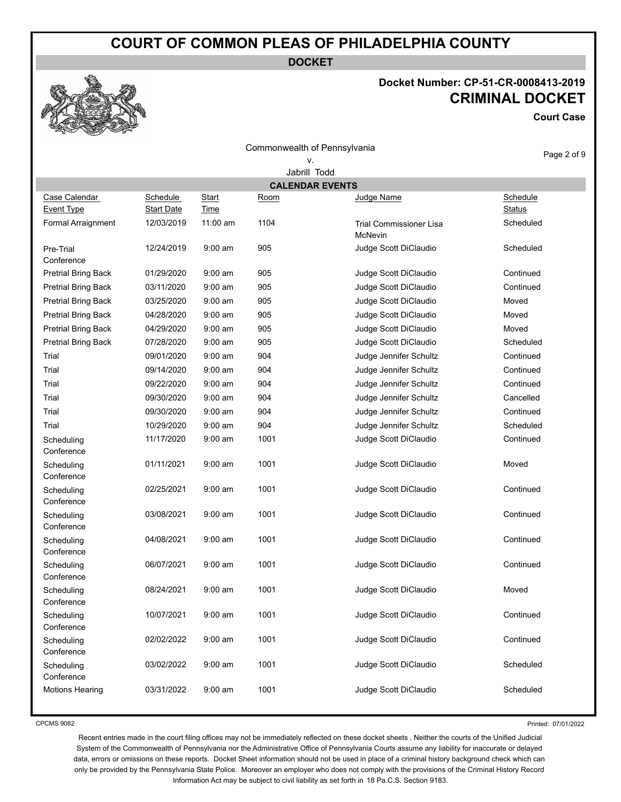**DOCKET**

Commonwealth of Pennsylvania

## **Docket Number: CP-51-CR-0008413-2019 CRIMINAL DOCKET**

**Court Case**



| <u>PUCKCLINGIIIDCI. OLI UTOINTUVUUT IUTZU IN</u> |
|--------------------------------------------------|
| <b>CRIMINAL DOCKET</b>                           |
| <b>Court Cas</b>                                 |

|                                    |                               |                             | COMMONWEANT OF FUNSYMANIA |                                    | Page 2 of 9               |  |  |  |
|------------------------------------|-------------------------------|-----------------------------|---------------------------|------------------------------------|---------------------------|--|--|--|
| ν.<br>Jabrill Todd                 |                               |                             |                           |                                    |                           |  |  |  |
|                                    |                               |                             |                           | <b>CALENDAR EVENTS</b>             |                           |  |  |  |
| Case Calendar<br><b>Event Type</b> | Schedule<br><b>Start Date</b> | <b>Start</b><br><b>Time</b> | <u>Room</u>               | Judge Name                         | Schedule<br><b>Status</b> |  |  |  |
| Formal Arraignment                 | 12/03/2019                    | 11:00 am                    | 1104                      | Trial Commissioner Lisa<br>McNevin | Scheduled                 |  |  |  |
| Pre-Trial<br>Conference            | 12/24/2019                    | $9:00$ am                   | 905                       | Judge Scott DiClaudio              | Scheduled                 |  |  |  |
| <b>Pretrial Bring Back</b>         | 01/29/2020                    | $9:00$ am                   | 905                       | Judge Scott DiClaudio              | Continued                 |  |  |  |
| <b>Pretrial Bring Back</b>         | 03/11/2020                    | $9:00$ am                   | 905                       | Judge Scott DiClaudio              | Continued                 |  |  |  |
| <b>Pretrial Bring Back</b>         | 03/25/2020                    | $9:00$ am                   | 905                       | Judge Scott DiClaudio              | Moved                     |  |  |  |
| <b>Pretrial Bring Back</b>         | 04/28/2020                    | $9:00$ am                   | 905                       | Judge Scott DiClaudio              | Moved                     |  |  |  |
| <b>Pretrial Bring Back</b>         | 04/29/2020                    | $9:00$ am                   | 905                       | Judge Scott DiClaudio              | Moved                     |  |  |  |
| <b>Pretrial Bring Back</b>         | 07/28/2020                    | $9:00$ am                   | 905                       | Judge Scott DiClaudio              | Scheduled                 |  |  |  |
| Trial                              | 09/01/2020                    | $9:00$ am                   | 904                       | Judge Jennifer Schultz             | Continued                 |  |  |  |
| Trial                              | 09/14/2020                    | $9:00$ am                   | 904                       | Judge Jennifer Schultz             | Continued                 |  |  |  |
| Trial                              | 09/22/2020                    | $9:00$ am                   | 904                       | Judge Jennifer Schultz             | Continued                 |  |  |  |
| Trial                              | 09/30/2020                    | $9:00 \text{ am}$           | 904                       | Judge Jennifer Schultz             | Cancelled                 |  |  |  |
| Trial                              | 09/30/2020                    | $9:00$ am                   | 904                       | Judge Jennifer Schultz             | Continued                 |  |  |  |
| Trial                              | 10/29/2020                    | $9:00 \text{ am}$           | 904                       | Judge Jennifer Schultz             | Scheduled                 |  |  |  |
| Scheduling<br>Conference           | 11/17/2020                    | $9:00 \text{ am}$           | 1001                      | Judge Scott DiClaudio              | Continued                 |  |  |  |
| Scheduling<br>Conference           | 01/11/2021                    | $9:00$ am                   | 1001                      | Judge Scott DiClaudio              | Moved                     |  |  |  |
| Scheduling<br>Conference           | 02/25/2021                    | $9:00$ am                   | 1001                      | Judge Scott DiClaudio              | Continued                 |  |  |  |
| Scheduling<br>Conference           | 03/08/2021                    | $9:00$ am                   | 1001                      | Judge Scott DiClaudio              | Continued                 |  |  |  |
| Scheduling<br>Conference           | 04/08/2021                    | $9:00$ am                   | 1001                      | Judge Scott DiClaudio              | Continued                 |  |  |  |
| Scheduling<br>Conference           | 06/07/2021                    | $9:00$ am                   | 1001                      | Judge Scott DiClaudio              | Continued                 |  |  |  |
| Scheduling<br>Conference           | 08/24/2021                    | $9:00$ am                   | 1001                      | Judge Scott DiClaudio              | Moved                     |  |  |  |
| Scheduling<br>Conference           | 10/07/2021                    | $9:00$ am                   | 1001                      | Judge Scott DiClaudio              | Continued                 |  |  |  |
| Scheduling<br>Conference           | 02/02/2022                    | $9:00$ am                   | 1001                      | Judge Scott DiClaudio              | Continued                 |  |  |  |
| Scheduling<br>Conference           | 03/02/2022                    | $9:00$ am                   | 1001                      | Judge Scott DiClaudio              | Scheduled                 |  |  |  |
| <b>Motions Hearing</b>             | 03/31/2022                    | $9:00$ am                   | 1001                      | Judge Scott DiClaudio              | Scheduled                 |  |  |  |

CPCMS 9082

Printed: 07/01/2022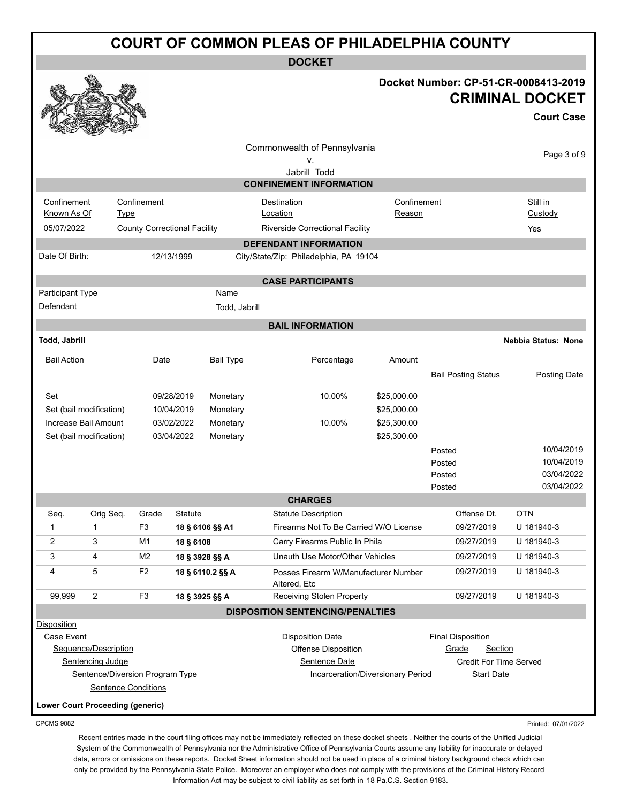| <b>COURT OF COMMON PLEAS OF PHILADELPHIA COUNTY</b> |                                          |                                     |                |                  |                                                      |             |                                                          |                                                                                     |  |
|-----------------------------------------------------|------------------------------------------|-------------------------------------|----------------|------------------|------------------------------------------------------|-------------|----------------------------------------------------------|-------------------------------------------------------------------------------------|--|
|                                                     | <b>DOCKET</b>                            |                                     |                |                  |                                                      |             |                                                          |                                                                                     |  |
|                                                     |                                          |                                     |                |                  |                                                      |             |                                                          | Docket Number: CP-51-CR-0008413-2019<br><b>CRIMINAL DOCKET</b><br><b>Court Case</b> |  |
|                                                     |                                          |                                     |                |                  | Commonwealth of Pennsylvania                         |             |                                                          |                                                                                     |  |
|                                                     |                                          |                                     |                |                  | ٧.                                                   |             |                                                          | Page 3 of 9                                                                         |  |
|                                                     |                                          |                                     |                |                  | Jabrill Todd<br><b>CONFINEMENT INFORMATION</b>       |             |                                                          |                                                                                     |  |
| Confinement                                         |                                          | Confinement                         |                |                  | Destination                                          | Confinement |                                                          | Still in                                                                            |  |
| Known As Of                                         | <b>Type</b>                              |                                     |                |                  | Location                                             | Reason      |                                                          | Custody                                                                             |  |
| 05/07/2022                                          |                                          | <b>County Correctional Facility</b> |                |                  | Riverside Correctional Facility                      |             |                                                          | Yes                                                                                 |  |
|                                                     |                                          |                                     |                |                  | <b>DEFENDANT INFORMATION</b>                         |             |                                                          |                                                                                     |  |
| Date Of Birth:                                      |                                          |                                     | 12/13/1999     |                  | City/State/Zip: Philadelphia, PA 19104               |             |                                                          |                                                                                     |  |
|                                                     |                                          |                                     |                |                  |                                                      |             |                                                          |                                                                                     |  |
| <b>Participant Type</b>                             |                                          |                                     |                | Name             | <b>CASE PARTICIPANTS</b>                             |             |                                                          |                                                                                     |  |
| Defendant                                           |                                          |                                     |                | Todd, Jabrill    |                                                      |             |                                                          |                                                                                     |  |
|                                                     |                                          |                                     |                |                  | <b>BAIL INFORMATION</b>                              |             |                                                          |                                                                                     |  |
| Todd, Jabrill                                       |                                          |                                     |                |                  |                                                      |             |                                                          | <b>Nebbia Status: None</b>                                                          |  |
|                                                     |                                          |                                     |                |                  |                                                      |             |                                                          |                                                                                     |  |
| <b>Bail Action</b>                                  |                                          | Date                                |                | <b>Bail Type</b> | Percentage                                           | Amount      |                                                          |                                                                                     |  |
|                                                     |                                          |                                     |                |                  |                                                      |             | <b>Bail Posting Status</b>                               | <b>Posting Date</b>                                                                 |  |
| Set                                                 |                                          |                                     | 09/28/2019     | Monetary         | 10.00%                                               | \$25,000.00 |                                                          |                                                                                     |  |
|                                                     | Set (bail modification)                  |                                     | 10/04/2019     | Monetary         |                                                      | \$25,000.00 |                                                          |                                                                                     |  |
|                                                     | Increase Bail Amount                     |                                     | 03/02/2022     | Monetary         | 10.00%                                               | \$25,300.00 |                                                          |                                                                                     |  |
|                                                     | Set (bail modification)                  |                                     | 03/04/2022     | Monetary         |                                                      | \$25,300.00 |                                                          |                                                                                     |  |
|                                                     |                                          |                                     |                |                  |                                                      |             | Posted<br>Posted                                         | 10/04/2019<br>10/04/2019                                                            |  |
|                                                     |                                          |                                     |                |                  |                                                      |             | Posted                                                   | 03/04/2022                                                                          |  |
|                                                     |                                          |                                     |                |                  |                                                      |             | Posted                                                   | 03/04/2022                                                                          |  |
|                                                     |                                          |                                     |                |                  | <b>CHARGES</b>                                       |             |                                                          |                                                                                     |  |
| Seq.                                                | Orig Seq.                                | Grade                               | Statute        |                  | <b>Statute Description</b>                           |             | Offense Dt.                                              | <b>OTN</b>                                                                          |  |
| 1                                                   | $\mathbf{1}$                             | F <sub>3</sub>                      |                | 18 § 6106 §§ A1  | Firearms Not To Be Carried W/O License               |             | 09/27/2019                                               | U 181940-3                                                                          |  |
| 2                                                   | 3                                        | M1                                  | 18 § 6108      |                  | Carry Firearms Public In Phila                       |             | 09/27/2019                                               | U 181940-3                                                                          |  |
| 3                                                   | 4                                        | M <sub>2</sub>                      | 18 § 3928 §§ A |                  | Unauth Use Motor/Other Vehicles                      |             | 09/27/2019                                               | U 181940-3                                                                          |  |
| 4                                                   | 5                                        | F <sub>2</sub>                      |                | 18 § 6110.2 §§ A | Posses Firearm W/Manufacturer Number<br>Altered, Etc |             | 09/27/2019                                               | U 181940-3                                                                          |  |
| 99,999                                              | $\overline{2}$                           | F <sub>3</sub>                      | 18 § 3925 §§ A |                  | Receiving Stolen Property                            |             | 09/27/2019                                               | U 181940-3                                                                          |  |
|                                                     |                                          |                                     |                |                  | <b>DISPOSITION SENTENCING/PENALTIES</b>              |             |                                                          |                                                                                     |  |
| Disposition                                         |                                          |                                     |                |                  |                                                      |             |                                                          |                                                                                     |  |
| Case Event                                          |                                          |                                     |                |                  | <b>Disposition Date</b>                              |             | <b>Final Disposition</b>                                 |                                                                                     |  |
|                                                     | Sequence/Description<br>Sentencing Judge |                                     |                |                  | <b>Offense Disposition</b><br>Sentence Date          |             | <b>Section</b><br>Grade<br><b>Credit For Time Served</b> |                                                                                     |  |
|                                                     | Sentence/Diversion Program Type          |                                     |                |                  | <b>Incarceration/Diversionary Period</b>             |             | <b>Start Date</b>                                        |                                                                                     |  |
|                                                     |                                          | <b>Sentence Conditions</b>          |                |                  |                                                      |             |                                                          |                                                                                     |  |
| <b>Lower Court Proceeding (generic)</b>             |                                          |                                     |                |                  |                                                      |             |                                                          |                                                                                     |  |
|                                                     |                                          |                                     |                |                  |                                                      |             |                                                          |                                                                                     |  |

Printed: 07/01/2022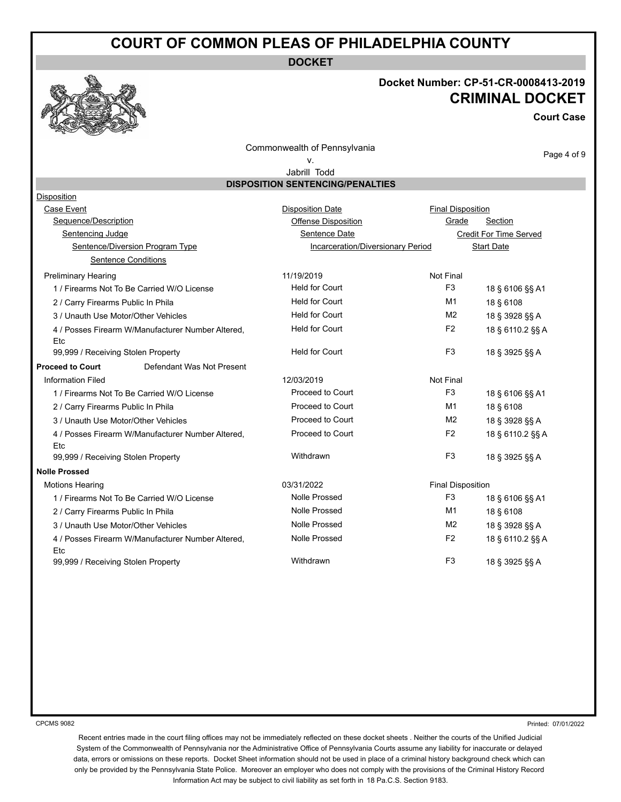**DOCKET**

## **Docket Number: CP-51-CR-0008413-2019 CRIMINAL DOCKET**

**Court Case**

Commonwealth of Pennsylvania

## v.

Page 4 of 9

Jabrill Todd **DISPOSITION SENTENCING/PENALTIES**

| Disposition                                              |                                   |                          |                               |
|----------------------------------------------------------|-----------------------------------|--------------------------|-------------------------------|
| Case Event                                               | <b>Disposition Date</b>           | <b>Final Disposition</b> |                               |
| Sequence/Description                                     | <b>Offense Disposition</b>        | Grade                    | Section                       |
| <b>Sentencing Judge</b>                                  | Sentence Date                     |                          | <b>Credit For Time Served</b> |
| Sentence/Diversion Program Type                          | Incarceration/Diversionary Period |                          | <b>Start Date</b>             |
| <b>Sentence Conditions</b>                               |                                   |                          |                               |
| <b>Preliminary Hearing</b>                               | 11/19/2019                        | Not Final                |                               |
| 1 / Firearms Not To Be Carried W/O License               | <b>Held for Court</b>             | F <sub>3</sub>           | 18 § 6106 §§ A1               |
| 2 / Carry Firearms Public In Phila                       | <b>Held for Court</b>             | M1                       | 18 § 6108                     |
| 3 / Unauth Use Motor/Other Vehicles                      | <b>Held for Court</b>             | M <sub>2</sub>           | 18 § 3928 §§ A                |
| 4 / Posses Firearm W/Manufacturer Number Altered,<br>Etc | <b>Held for Court</b>             | F <sub>2</sub>           | 18 § 6110.2 §§ A              |
| 99,999 / Receiving Stolen Property                       | <b>Held for Court</b>             | F <sub>3</sub>           | 18 § 3925 §§ A                |
| <b>Proceed to Court</b><br>Defendant Was Not Present     |                                   |                          |                               |
| <b>Information Filed</b>                                 | 12/03/2019                        | <b>Not Final</b>         |                               |
| 1 / Firearms Not To Be Carried W/O License               | Proceed to Court                  | F <sub>3</sub>           | 18 § 6106 §§ A1               |
| 2 / Carry Firearms Public In Phila                       | Proceed to Court                  | M1                       | 18 § 6108                     |
| 3 / Unauth Use Motor/Other Vehicles                      | Proceed to Court                  | M <sub>2</sub>           | 18 § 3928 §§ A                |
| 4 / Posses Firearm W/Manufacturer Number Altered,<br>Etc | Proceed to Court                  | F <sub>2</sub>           | 18 § 6110.2 §§ A              |
| 99,999 / Receiving Stolen Property                       | Withdrawn                         | F <sub>3</sub>           | 18 § 3925 §§ A                |
| <b>Nolle Prossed</b>                                     |                                   |                          |                               |
| <b>Motions Hearing</b>                                   | 03/31/2022                        | <b>Final Disposition</b> |                               |
| 1 / Firearms Not To Be Carried W/O License               | <b>Nolle Prossed</b>              | F <sub>3</sub>           | 18 § 6106 §§ A1               |
| 2 / Carry Firearms Public In Phila                       | <b>Nolle Prossed</b>              | M1                       | 18 § 6108                     |
| 3 / Unauth Use Motor/Other Vehicles                      | <b>Nolle Prossed</b>              | M <sub>2</sub>           | 18 § 3928 §§ A                |
| 4 / Posses Firearm W/Manufacturer Number Altered,<br>Etc | <b>Nolle Prossed</b>              | F <sub>2</sub>           | 18 § 6110.2 §§ A              |
| 99,999 / Receiving Stolen Property                       | Withdrawn                         | F <sub>3</sub>           | 18 § 3925 §§ A                |

CPCMS 9082

Printed: 07/01/2022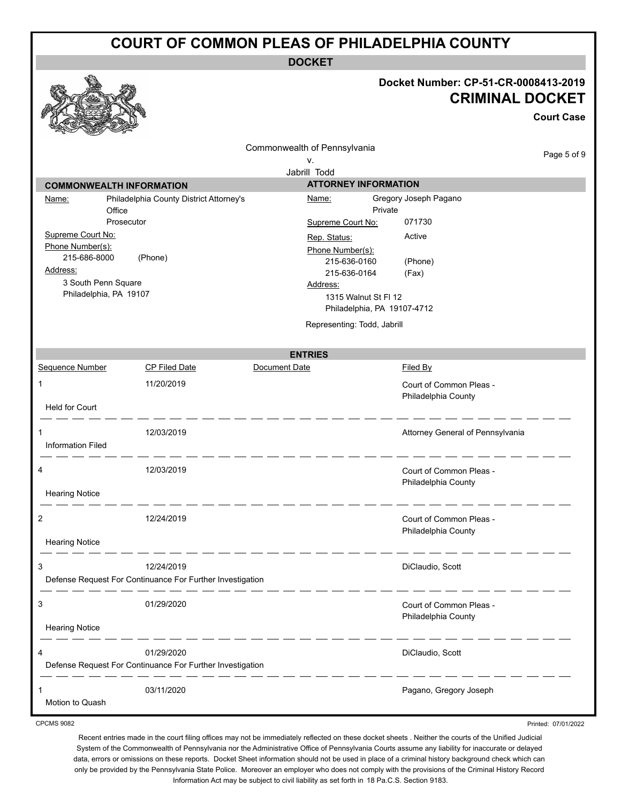**DOCKET**

## **Docket Number: CP-51-CR-0008413-2019 CRIMINAL DOCKET**

**Court Case** Commonwealth of Pennsylvania Page 5 of 9 v. Jabrill Todd **ATTORNEY INFORMATION COMMONWEALTH INFORMATION** Name: Philadelphia County District Attorney's Name: Gregory Joseph Pagano **Office** Private Prosecutor Supreme Court No: 071730 Supreme Court No: Rep. Status: Active Phone Number(s): Phone Number(s): 215-686-8000 (Phone) 215-636-0160 (Phone) Address: 215-636-0164 (Fax) 3 South Penn Square Address: Philadelphia, PA 19107 1315 Walnut St Fl 12 Philadelphia, PA 19107-4712 Representing: Todd, Jabrill **ENTRIES** Sequence Number CP Filed Date Document Date Date Filed By 1 11/20/2019 **11/20/2019** Court of Common Pleas -Philadelphia County Held for Court 1 12/03/2019 Attorney General of Pennsylvania Information Filed 4 12/03/2019 **12/03/2019 Court of Common Pleas** -Philadelphia County Hearing Notice 2 12/24/2019 Court of Common Pleas - Philadelphia County Hearing Notice \_\_\_\_\_\_\_\_\_\_\_\_\_\_\_ \_ \_\_ \_\_ \_\_ \_\_ \_\_ \_\_ 3 12/24/2019 DiClaudio, Scott Defense Request For Continuance For Further Investigation 3 01/29/2020 Court of Common Pleas - Philadelphia County Hearing Notice \_ \_ \_ \_ \_ \_ \_ \_ \_ \_ \_ \_ \_\_ \_\_ \_\_ \_\_ \_\_ \_\_ 4 01/29/2020 DiClaudio, Scott Defense Request For Continuance For Further Investigation 1 03/11/2020 Pagano, Gregory Joseph Motion to Quash

CPCMS 9082

Recent entries made in the court filing offices may not be immediately reflected on these docket sheets . Neither the courts of the Unified Judicial System of the Commonwealth of Pennsylvania nor the Administrative Office of Pennsylvania Courts assume any liability for inaccurate or delayed data, errors or omissions on these reports. Docket Sheet information should not be used in place of a criminal history background check which can only be provided by the Pennsylvania State Police. Moreover an employer who does not comply with the provisions of the Criminal History Record Information Act may be subject to civil liability as set forth in 18 Pa.C.S. Section 9183.

Printed: 07/01/2022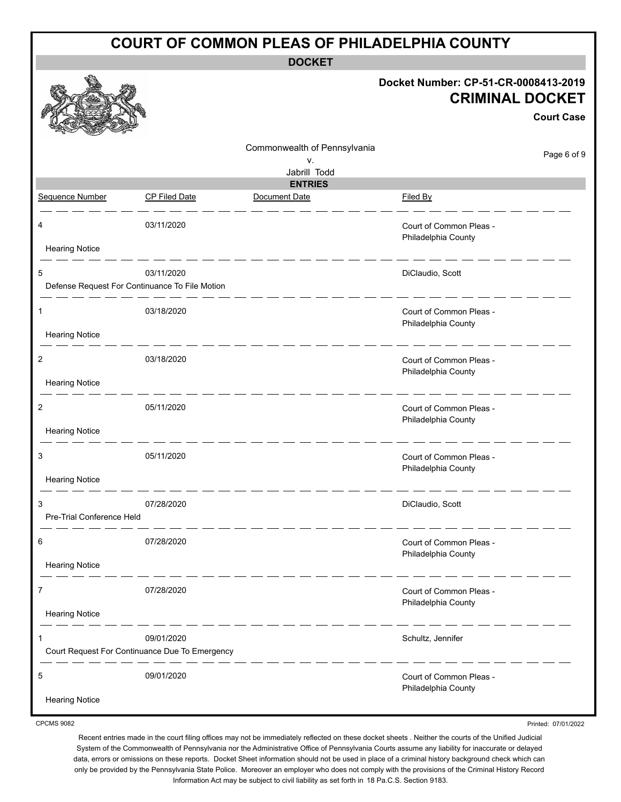| <b>DOCKET</b><br>Docket Number: CP-51-CR-0008413-2019<br><b>CRIMINAL DOCKET</b><br><b>Court Case</b><br>Commonwealth of Pennsylvania<br>Page 6 of 9<br>v.<br>Jabrill Todd<br><b>ENTRIES</b><br>Sequence Number<br>Document Date<br>Filed By<br><b>CP Filed Date</b><br>03/11/2020<br>Court of Common Pleas -<br>4<br>Philadelphia County<br><b>Hearing Notice</b><br>03/11/2020<br>DiClaudio, Scott<br>5<br>Defense Request For Continuance To File Motion<br>03/18/2020<br>Court of Common Pleas -<br>1<br>Philadelphia County<br><b>Hearing Notice</b><br>03/18/2020<br>2<br>Court of Common Pleas -<br>Philadelphia County<br><b>Hearing Notice</b><br>05/11/2020<br>2<br>Court of Common Pleas -<br>Philadelphia County<br><b>Hearing Notice</b><br>05/11/2020<br>3<br>Court of Common Pleas -<br>Philadelphia County<br><b>Hearing Notice</b><br>07/28/2020<br>DiClaudio, Scott<br>3<br>Pre-Trial Conference Held<br>07/28/2020<br>Court of Common Pleas -<br>6<br>Philadelphia County<br><b>Hearing Notice</b><br>07/28/2020<br>7<br>Court of Common Pleas -<br>Philadelphia County<br><b>Hearing Notice</b><br>09/01/2020<br>Schultz, Jennifer<br>Court Request For Continuance Due To Emergency<br>__ __ __ __ __<br>09/01/2020<br>5<br>Court of Common Pleas -<br>Philadelphia County | <b>COURT OF COMMON PLEAS OF PHILADELPHIA COUNTY</b> |  |  |  |  |  |  |  |
|------------------------------------------------------------------------------------------------------------------------------------------------------------------------------------------------------------------------------------------------------------------------------------------------------------------------------------------------------------------------------------------------------------------------------------------------------------------------------------------------------------------------------------------------------------------------------------------------------------------------------------------------------------------------------------------------------------------------------------------------------------------------------------------------------------------------------------------------------------------------------------------------------------------------------------------------------------------------------------------------------------------------------------------------------------------------------------------------------------------------------------------------------------------------------------------------------------------------------------------------------------------------------------------------|-----------------------------------------------------|--|--|--|--|--|--|--|
|                                                                                                                                                                                                                                                                                                                                                                                                                                                                                                                                                                                                                                                                                                                                                                                                                                                                                                                                                                                                                                                                                                                                                                                                                                                                                                |                                                     |  |  |  |  |  |  |  |
|                                                                                                                                                                                                                                                                                                                                                                                                                                                                                                                                                                                                                                                                                                                                                                                                                                                                                                                                                                                                                                                                                                                                                                                                                                                                                                |                                                     |  |  |  |  |  |  |  |
|                                                                                                                                                                                                                                                                                                                                                                                                                                                                                                                                                                                                                                                                                                                                                                                                                                                                                                                                                                                                                                                                                                                                                                                                                                                                                                |                                                     |  |  |  |  |  |  |  |
|                                                                                                                                                                                                                                                                                                                                                                                                                                                                                                                                                                                                                                                                                                                                                                                                                                                                                                                                                                                                                                                                                                                                                                                                                                                                                                |                                                     |  |  |  |  |  |  |  |
|                                                                                                                                                                                                                                                                                                                                                                                                                                                                                                                                                                                                                                                                                                                                                                                                                                                                                                                                                                                                                                                                                                                                                                                                                                                                                                |                                                     |  |  |  |  |  |  |  |
|                                                                                                                                                                                                                                                                                                                                                                                                                                                                                                                                                                                                                                                                                                                                                                                                                                                                                                                                                                                                                                                                                                                                                                                                                                                                                                |                                                     |  |  |  |  |  |  |  |
|                                                                                                                                                                                                                                                                                                                                                                                                                                                                                                                                                                                                                                                                                                                                                                                                                                                                                                                                                                                                                                                                                                                                                                                                                                                                                                |                                                     |  |  |  |  |  |  |  |
|                                                                                                                                                                                                                                                                                                                                                                                                                                                                                                                                                                                                                                                                                                                                                                                                                                                                                                                                                                                                                                                                                                                                                                                                                                                                                                |                                                     |  |  |  |  |  |  |  |
|                                                                                                                                                                                                                                                                                                                                                                                                                                                                                                                                                                                                                                                                                                                                                                                                                                                                                                                                                                                                                                                                                                                                                                                                                                                                                                |                                                     |  |  |  |  |  |  |  |
|                                                                                                                                                                                                                                                                                                                                                                                                                                                                                                                                                                                                                                                                                                                                                                                                                                                                                                                                                                                                                                                                                                                                                                                                                                                                                                |                                                     |  |  |  |  |  |  |  |
|                                                                                                                                                                                                                                                                                                                                                                                                                                                                                                                                                                                                                                                                                                                                                                                                                                                                                                                                                                                                                                                                                                                                                                                                                                                                                                |                                                     |  |  |  |  |  |  |  |
|                                                                                                                                                                                                                                                                                                                                                                                                                                                                                                                                                                                                                                                                                                                                                                                                                                                                                                                                                                                                                                                                                                                                                                                                                                                                                                |                                                     |  |  |  |  |  |  |  |
|                                                                                                                                                                                                                                                                                                                                                                                                                                                                                                                                                                                                                                                                                                                                                                                                                                                                                                                                                                                                                                                                                                                                                                                                                                                                                                |                                                     |  |  |  |  |  |  |  |
|                                                                                                                                                                                                                                                                                                                                                                                                                                                                                                                                                                                                                                                                                                                                                                                                                                                                                                                                                                                                                                                                                                                                                                                                                                                                                                |                                                     |  |  |  |  |  |  |  |
|                                                                                                                                                                                                                                                                                                                                                                                                                                                                                                                                                                                                                                                                                                                                                                                                                                                                                                                                                                                                                                                                                                                                                                                                                                                                                                |                                                     |  |  |  |  |  |  |  |
|                                                                                                                                                                                                                                                                                                                                                                                                                                                                                                                                                                                                                                                                                                                                                                                                                                                                                                                                                                                                                                                                                                                                                                                                                                                                                                |                                                     |  |  |  |  |  |  |  |
|                                                                                                                                                                                                                                                                                                                                                                                                                                                                                                                                                                                                                                                                                                                                                                                                                                                                                                                                                                                                                                                                                                                                                                                                                                                                                                | <b>Hearing Notice</b>                               |  |  |  |  |  |  |  |

Printed: 07/01/2022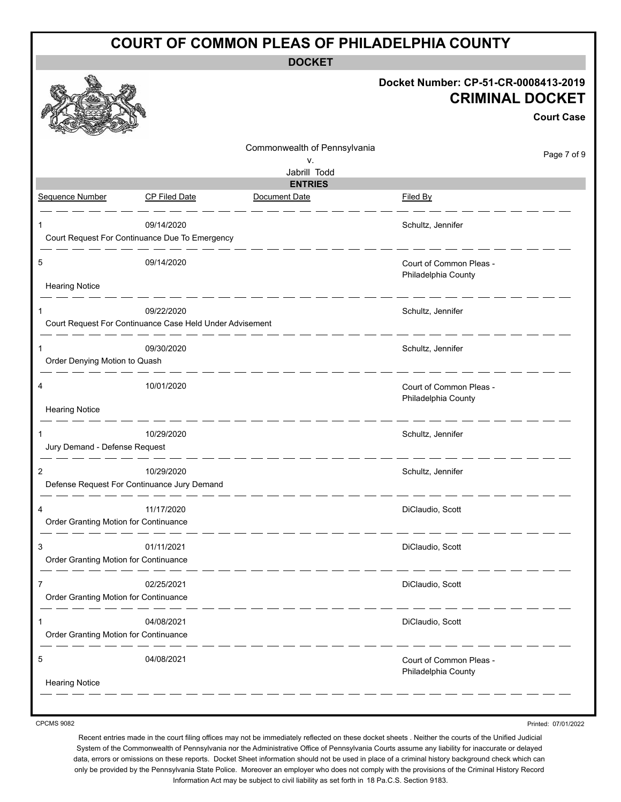| <b>COURT OF COMMON PLEAS OF PHILADELPHIA COUNTY</b>                         |                              |                                                                                     |  |  |  |
|-----------------------------------------------------------------------------|------------------------------|-------------------------------------------------------------------------------------|--|--|--|
|                                                                             | <b>DOCKET</b>                | Docket Number: CP-51-CR-0008413-2019<br><b>CRIMINAL DOCKET</b><br><b>Court Case</b> |  |  |  |
|                                                                             | Commonwealth of Pennsylvania | Page 7 of 9                                                                         |  |  |  |
|                                                                             | V.<br>Jabrill Todd           |                                                                                     |  |  |  |
|                                                                             | <b>ENTRIES</b>               |                                                                                     |  |  |  |
| Sequence Number<br><b>CP Filed Date</b>                                     | Document Date                | Filed By                                                                            |  |  |  |
| 09/14/2020<br>Court Request For Continuance Due To Emergency                |                              | Schultz, Jennifer                                                                   |  |  |  |
| 5<br>09/14/2020                                                             |                              | Court of Common Pleas -<br>Philadelphia County                                      |  |  |  |
| <b>Hearing Notice</b>                                                       |                              |                                                                                     |  |  |  |
| 09/22/2020<br>Court Request For Continuance Case Held Under Advisement      |                              | Schultz, Jennifer                                                                   |  |  |  |
| 09/30/2020<br>Order Denying Motion to Quash                                 |                              | Schultz, Jennifer                                                                   |  |  |  |
| 10/01/2020<br>4<br><b>Hearing Notice</b>                                    |                              | Court of Common Pleas -<br>Philadelphia County                                      |  |  |  |
|                                                                             |                              |                                                                                     |  |  |  |
| 10/29/2020<br>1                                                             |                              | Schultz, Jennifer                                                                   |  |  |  |
| Jury Demand - Defense Request                                               |                              |                                                                                     |  |  |  |
| $\overline{2}$<br>10/29/2020<br>Defense Request For Continuance Jury Demand |                              | Schultz, Jennifer                                                                   |  |  |  |
| 11/17/2020<br>4<br>Order Granting Motion for Continuance                    |                              | DiClaudio, Scott                                                                    |  |  |  |
| 3<br>01/11/2021<br>Order Granting Motion for Continuance                    |                              | DiClaudio, Scott                                                                    |  |  |  |
| 02/25/2021<br>7<br>Order Granting Motion for Continuance                    |                              | DiClaudio, Scott                                                                    |  |  |  |
| 04/08/2021<br>Order Granting Motion for Continuance                         |                              | DiClaudio, Scott                                                                    |  |  |  |
| 04/08/2021<br>5                                                             |                              | Court of Common Pleas -<br>Philadelphia County                                      |  |  |  |
| <b>Hearing Notice</b>                                                       |                              |                                                                                     |  |  |  |

Printed: 07/01/2022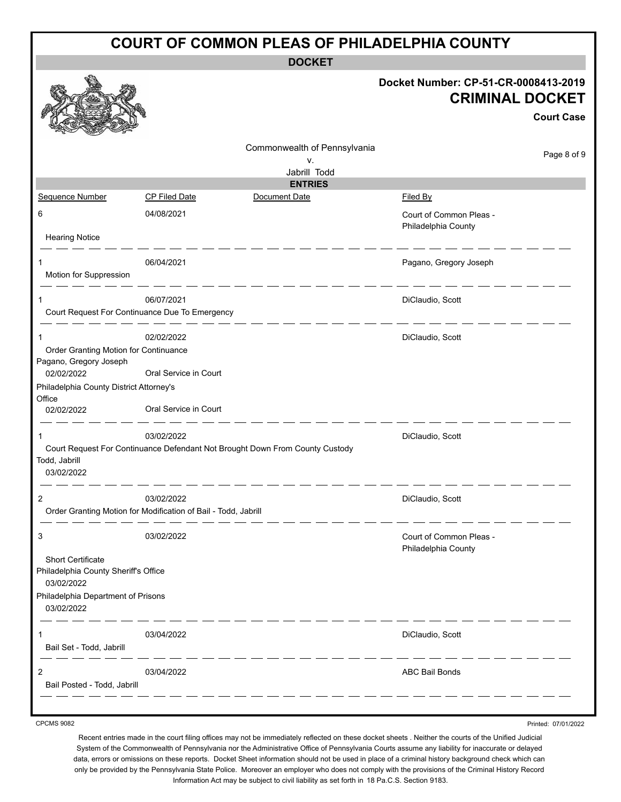| <b>COURT OF COMMON PLEAS OF PHILADELPHIA COUNTY</b>                                                         |                                    |                                                                                     |  |  |  |  |  |
|-------------------------------------------------------------------------------------------------------------|------------------------------------|-------------------------------------------------------------------------------------|--|--|--|--|--|
| <b>DOCKET</b>                                                                                               |                                    |                                                                                     |  |  |  |  |  |
|                                                                                                             |                                    | Docket Number: CP-51-CR-0008413-2019<br><b>CRIMINAL DOCKET</b><br><b>Court Case</b> |  |  |  |  |  |
|                                                                                                             | Commonwealth of Pennsylvania<br>v. | Page 8 of 9                                                                         |  |  |  |  |  |
|                                                                                                             | Jabrill Todd                       |                                                                                     |  |  |  |  |  |
|                                                                                                             | <b>ENTRIES</b>                     |                                                                                     |  |  |  |  |  |
| Sequence Number<br><b>CP Filed Date</b>                                                                     | Document Date                      | Filed By                                                                            |  |  |  |  |  |
| 6<br>04/08/2021<br><b>Hearing Notice</b>                                                                    |                                    | Court of Common Pleas -<br>Philadelphia County                                      |  |  |  |  |  |
| 06/04/2021<br>Motion for Suppression                                                                        |                                    | Pagano, Gregory Joseph                                                              |  |  |  |  |  |
| 06/07/2021<br>1                                                                                             |                                    | DiClaudio, Scott                                                                    |  |  |  |  |  |
| Court Request For Continuance Due To Emergency                                                              |                                    |                                                                                     |  |  |  |  |  |
| 02/02/2022<br>1<br>Order Granting Motion for Continuance<br>Pagano, Gregory Joseph                          |                                    | DiClaudio, Scott                                                                    |  |  |  |  |  |
| Oral Service in Court<br>02/02/2022<br>Philadelphia County District Attorney's                              |                                    |                                                                                     |  |  |  |  |  |
| Office<br>Oral Service in Court<br>02/02/2022                                                               |                                    |                                                                                     |  |  |  |  |  |
| 03/02/2022<br>1                                                                                             |                                    | DiClaudio, Scott                                                                    |  |  |  |  |  |
| Court Request For Continuance Defendant Not Brought Down From County Custody<br>Todd, Jabrill<br>03/02/2022 |                                    |                                                                                     |  |  |  |  |  |
| $\overline{2}$<br>03/02/2022<br>Order Granting Motion for Modification of Bail - Todd, Jabrill              |                                    | DiClaudio, Scott                                                                    |  |  |  |  |  |
| 3<br>03/02/2022                                                                                             |                                    | Court of Common Pleas -<br>Philadelphia County                                      |  |  |  |  |  |
| Short Certificate<br>Philadelphia County Sheriff's Office<br>03/02/2022                                     |                                    |                                                                                     |  |  |  |  |  |
| Philadelphia Department of Prisons<br>03/02/2022                                                            |                                    |                                                                                     |  |  |  |  |  |
| 03/04/2022<br>1<br>Bail Set - Todd, Jabrill                                                                 |                                    | DiClaudio, Scott                                                                    |  |  |  |  |  |
| 2<br>03/04/2022<br>Bail Posted - Todd, Jabrill                                                              |                                    | <b>ABC Bail Bonds</b>                                                               |  |  |  |  |  |
|                                                                                                             | the control of the control of the  |                                                                                     |  |  |  |  |  |

Recent entries made in the court filing offices may not be immediately reflected on these docket sheets . Neither the courts of the Unified Judicial System of the Commonwealth of Pennsylvania nor the Administrative Office of Pennsylvania Courts assume any liability for inaccurate or delayed data, errors or omissions on these reports. Docket Sheet information should not be used in place of a criminal history background check which can only be provided by the Pennsylvania State Police. Moreover an employer who does not comply with the provisions of the Criminal History Record Information Act may be subject to civil liability as set forth in 18 Pa.C.S. Section 9183.

Printed: 07/01/2022